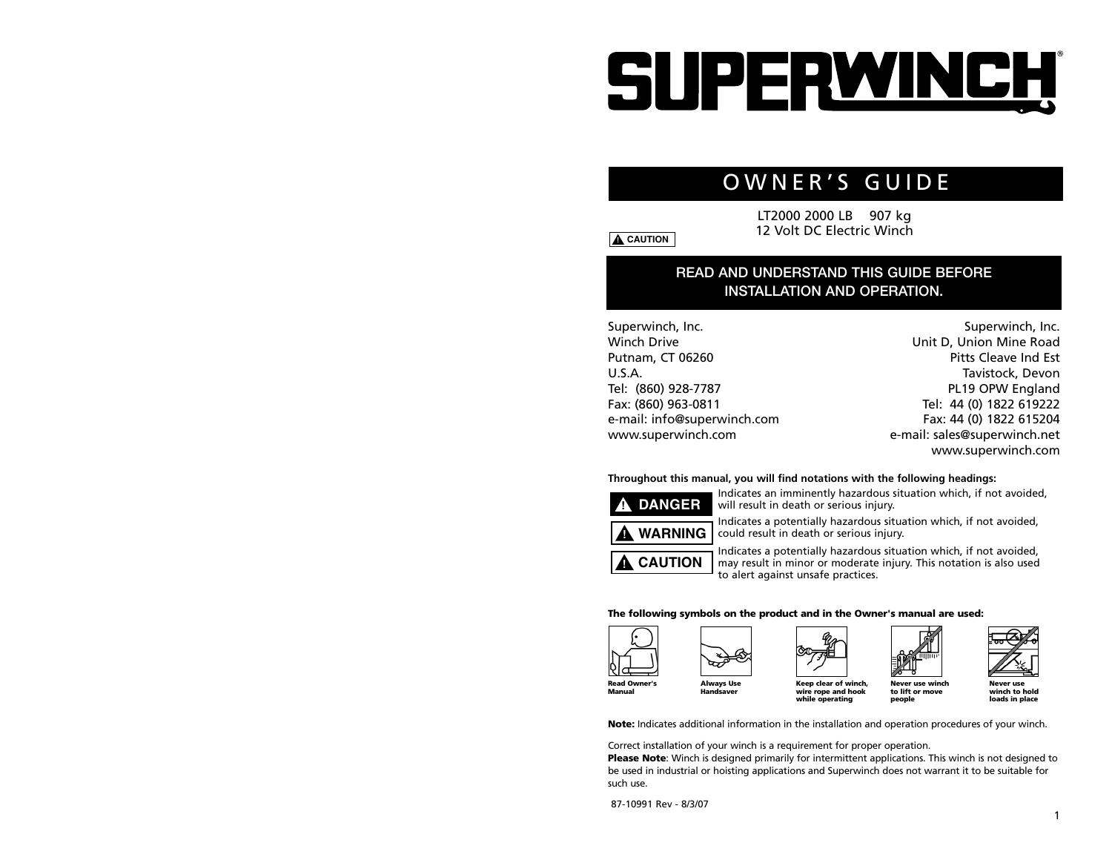# SUPERWINCH

# OWNER'S GUIDE

LT2000 2000 LB 907 kg 12 Volt DC Electric Winch

## **READ AND UNDERSTAND THIS GUIDE BEFORE INSTALLATION AND OPERATION.**

Superwinch, Inc. Winch Drive Putnam, CT 06260 U.S.A. Tel: (860) 928-7787 Fax: (860) 963-0811 e-mail: info@superwinch.com www.superwinch.com

Superwinch, Inc. Unit D, Union Mine Road Pitts Cleave Ind Est Tavistock, Devon PL19 OPW England Tel: 44 (0) 1822 619222 Fax: 44 (0) 1822 615204 e-mail: sales@superwinch.net www.superwinch.com

### **Throughout this manual, you will find notations with the following headings:**

Indicates an imminently hazardous situation which, if not avoided, will result in death or serious injury. **! DANGER**

Indicates a potentially hazardous situation which, if not avoided, could result in death or serious injury.



**! CAUTION**

**! CAUTION**

Indicates a potentially hazardous situation which, if not avoided, may result in minor or moderate injury. This notation is also used

**The following symbols on the product and in the Owner's manual are used:**

to alert against unsafe practices.









**Never use** 

**Always Use Handsaver**

**wire rope and hook while operating to lift or move people**



**Note:** Indicates additional information in the installation and operation procedures of your winch.

Correct installation of your winch is a requirement for proper operation.

**Please Note**: Winch is designed primarily for intermittent applications. This winch is not designed to be used in industrial or hoisting applications and Superwinch does not warrant it to be suitable for such use.

87-10991 Rev - 8/3/07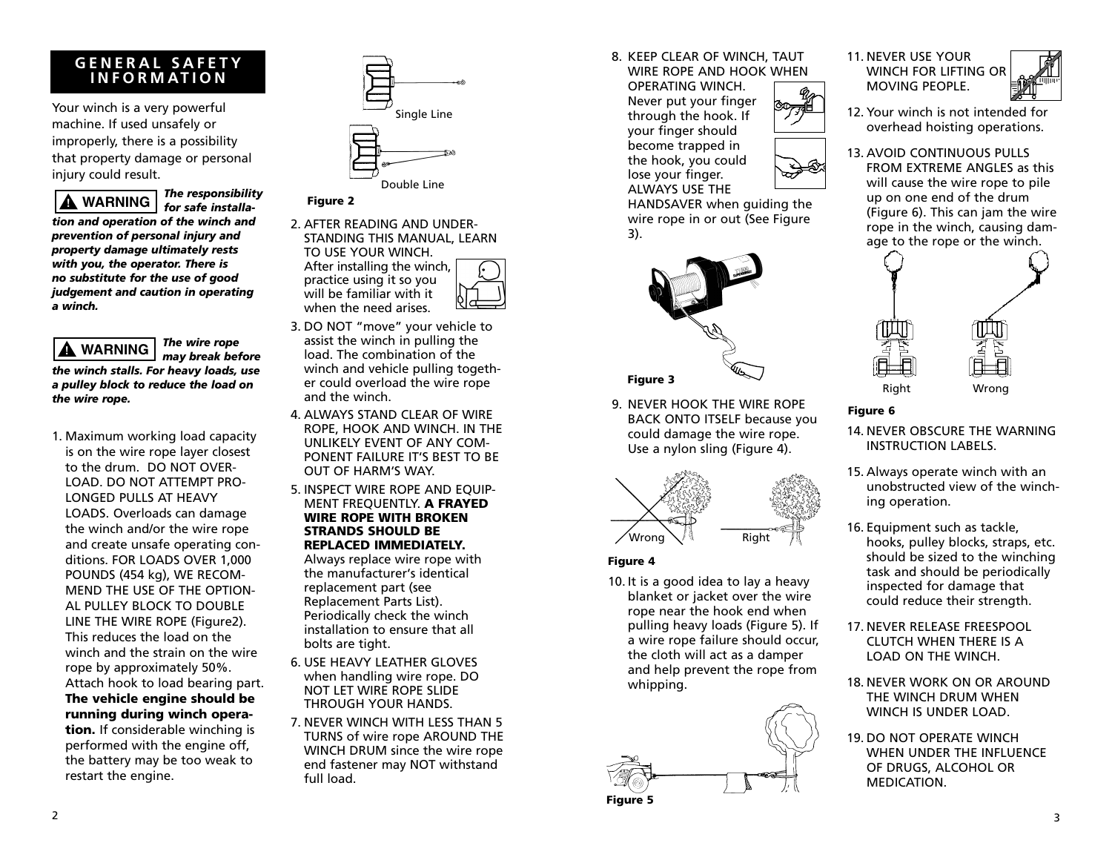## **GENERAL SAFETY INFORMATION**

Your winch is a very powerful machine. If used unsafely or improperly, there is a possibility that property damage or personal injury could result.

*The responsibility for safe installation and operation of the winch and prevention of personal injury and property damage ultimately rests with you, the operator. There is no substitute for the use of good judgement and caution in operating a winch.* **! WARNING**

*The wire rope may break before the winch stalls. For heavy loads, use a pulley block to reduce the load on the wire rope.* **! WARNING**

1. Maximum working load capacity is on the wire rope layer closest to the drum. DO NOT OVER-LOAD. DO NOT ATTEMPT PRO-LONGED PULLS AT HEAVY LOADS. Overloads can damage the winch and/or the wire rope and create unsafe operating conditions. FOR LOADS OVER 1,000 POUNDS (454 kg), WE RECOM-MEND THE USE OF THE OPTION-AL PULLEY BLOCK TO DOUBLE LINE THE WIRE ROPE (Figure2). This reduces the load on the winch and the strain on the wire rope by approximately 50%. Attach hook to load bearing part. **The vehicle engine should be running during winch operation.** If considerable winching is performed with the engine off, the battery may be too weak to restart the engine.



- **Figure 2**
- 2. AFTER READING AND UNDER-STANDING THIS MANUAL, LEARN TO USE YOUR WINCH. After installing the winch, practice using it so you will be familiar with it when the need arises.
- 3. DO NOT "move" your vehicle to assist the winch in pulling the load. The combination of the winch and vehicle pulling together could overload the wire rope and the winch.
- 4. ALWAYS STAND CLEAR OF WIRE ROPE, HOOK AND WINCH. IN THE UNLIKELY EVENT OF ANY COM-PONENT FAILURE IT'S BEST TO BE OUT OF HARM'S WAY.
- 5. INSPECT WIRE ROPE AND EQUIP-MENT FREQUENTLY. **A FRAYED WIRE ROPE WITH BROKEN STRANDS SHOULD BE REPLACED IMMEDIATELY.**

Always replace wire rope with the manufacturer's identical replacement part (see Replacement Parts List). Periodically check the winch installation to ensure that all bolts are tight.

- 6. USE HEAVY LEATHER GLOVES when handling wire rope. DO NOT LET WIRE ROPE SLIDE THROUGH YOUR HANDS.
- 7. NEVER WINCH WITH LESS THAN 5 TURNS of wire rope AROUND THE WINCH DRUM since the wire rope end fastener may NOT withstand full load.

8. KEEP CLEAR OF WINCH, TAUT WIRE ROPE AND HOOK WHEN

OPERATING WINCH. Never put your finger through the hook. If your finger should become trapped in the hook, you could lose your finger. ALWAYS USE THE HANDSAVER when guiding the wire rope in or out (See Figure

9. NEVER HOOK THE WIRE ROPE BACK ONTO ITSELF because you could damage the wire rope. Use a nylon sling (Figure 4).

10. It is a good idea to lay a heavy blanket or jacket over the wire rope near the hook end when pulling heavy loads (Figure 5). If a wire rope failure should occur, the cloth will act as a damper and help prevent the rope from

Right

whipping.

**Figure 4**

**Figure 5**

3).

**Figure 3**



11. NEVER USE YOUR WINCH FOR LIFTING OR MOVING PEOPLE.



- 12. Your winch is not intended for overhead hoisting operations.
- 13. AVOID CONTINUOUS PULLS FROM EXTREME ANGLES as this will cause the wire rope to pile up on one end of the drum (Figure 6). This can jam the wire rope in the winch, causing damage to the rope or the winch.



## **Figure 6**

- 14. NEVER OBSCURE THE WARNING INSTRUCTION LABELS.
- 15. Always operate winch with an unobstructed view of the winching operation.
- 16. Equipment such as tackle, hooks, pulley blocks, straps, etc. should be sized to the winching task and should be periodically inspected for damage that could reduce their strength.
- 17. NEVER RELEASE FREESPOOL CLUTCH WHEN THERE IS A LOAD ON THE WINCH.
- 18. NEVER WORK ON OR AROUND THE WINCH DRUM WHEN WINCH IS UNDER LOAD.
- 19. DO NOT OPERATE WINCH WHEN UNDER THE INFLUENCE OF DRUGS, ALCOHOL OR MEDICATION.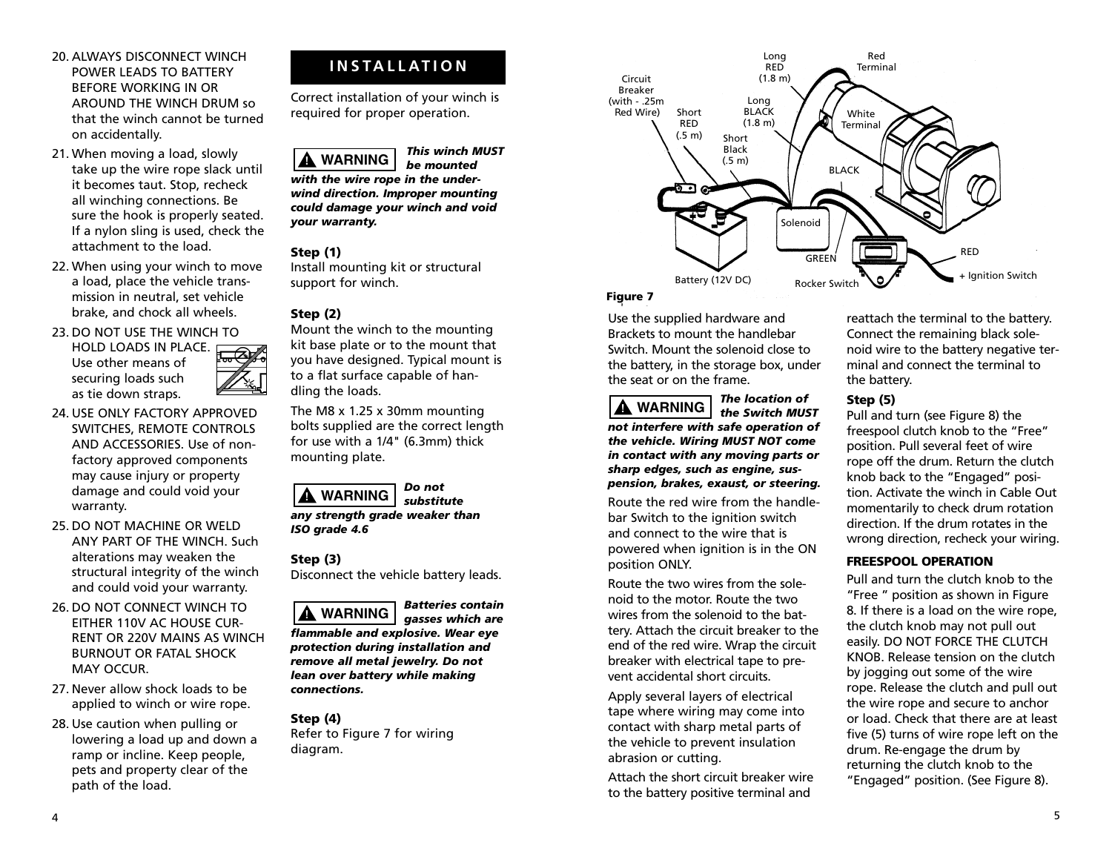- 20. ALWAYS DISCONNECT WINCH POWER LEADS TO BATTERY BEFORE WORKING IN OR AROUND THE WINCH DRUM so that the winch cannot be turned on accidentally.
- 21. When moving a load, slowly take up the wire rope slack until it becomes taut. Stop, recheck all winching connections. Be sure the hook is properly seated. If a nylon sling is used, check the attachment to the load.
- 22. When using your winch to move a load, place the vehicle transmission in neutral, set vehicle brake, and chock all wheels.

## 23. DO NOT USE THE WINCH TO HOLD LOADS IN PLACE.

Use other means of securing loads such as tie down straps.

- 24. USE ONLY FACTORY APPROVED SWITCHES, REMOTE CONTROLS AND ACCESSORIES. Use of nonfactory approved components may cause injury or property damage and could void your warranty.
- 25. DO NOT MACHINE OR WELD ANY PART OF THE WINCH. Such alterations may weaken the structural integrity of the winch and could void your warranty.
- 26. DO NOT CONNECT WINCH TO EITHER 110V AC HOUSE CUR-RENT OR 220V MAINS AS WINCH BURNOUT OR FATAL SHOCK MAY OCCUR.
- 27. Never allow shock loads to be applied to winch or wire rope.
- 28. Use caution when pulling or lowering a load up and down a ramp or incline. Keep people, pets and property clear of the path of the load.

# **INSTALLATION**

Correct installation of your winch is required for proper operation.

*This winch MUST* **! WARNING**

*be mounted with the wire rope in the underwind direction. Improper mounting could damage your winch and void your warranty.*

## **Step (1)**

Install mounting kit or structural support for winch.

## **Step (2)**

Mount the winch to the mounting kit base plate or to the mount that you have designed. Typical mount is to a flat surface capable of handling the loads.

The M8 x 1.25 x 30mm mounting bolts supplied are the correct length for use with a 1/4" (6.3mm) thick mounting plate.



## **Step (3)**

Disconnect the vehicle battery leads.



*flammable and explosive. Wear eye protection during installation and*

*remove all metal jewelry. Do not lean over battery while making connections.*

**Step (4)** Refer to Figure 7 for wiring diagram.



## **Figure 7**

Use the supplied hardware and Brackets to mount the handlebar Switch. Mount the solenoid close to the battery, in the storage box, under the seat or on the frame.



*The location of the Switch MUST*

*not interfere with safe operation of the vehicle. Wiring MUST NOT come in contact with any moving parts or sharp edges, such as engine, suspension, brakes, exaust, or steering.*

Route the red wire from the handlebar Switch to the ignition switch and connect to the wire that is powered when ignition is in the ON position ONLY.

Route the two wires from the solenoid to the motor. Route the two wires from the solenoid to the battery. Attach the circuit breaker to the end of the red wire. Wrap the circuit breaker with electrical tape to prevent accidental short circuits.

Apply several layers of electrical tape where wiring may come into contact with sharp metal parts of the vehicle to prevent insulation abrasion or cutting.

Attach the short circuit breaker wire to the battery positive terminal and

reattach the terminal to the battery. Connect the remaining black solenoid wire to the battery negative terminal and connect the terminal to the battery.

## **Step (5)**

Pull and turn (see Figure 8) the freespool clutch knob to the "Free" position. Pull several feet of wire rope off the drum. Return the clutch knob back to the "Engaged" position. Activate the winch in Cable Out momentarily to check drum rotation direction. If the drum rotates in the wrong direction, recheck your wiring.

## **FREESPOOL OPERATION**

Pull and turn the clutch knob to the "Free " position as shown in Figure 8. If there is a load on the wire rope, the clutch knob may not pull out easily. DO NOT FORCE THE CLUTCH KNOB. Release tension on the clutch by jogging out some of the wire rope. Release the clutch and pull out the wire rope and secure to anchor or load. Check that there are at least five (5) turns of wire rope left on the drum. Re-engage the drum by returning the clutch knob to the "Engaged" position. (See Figure 8).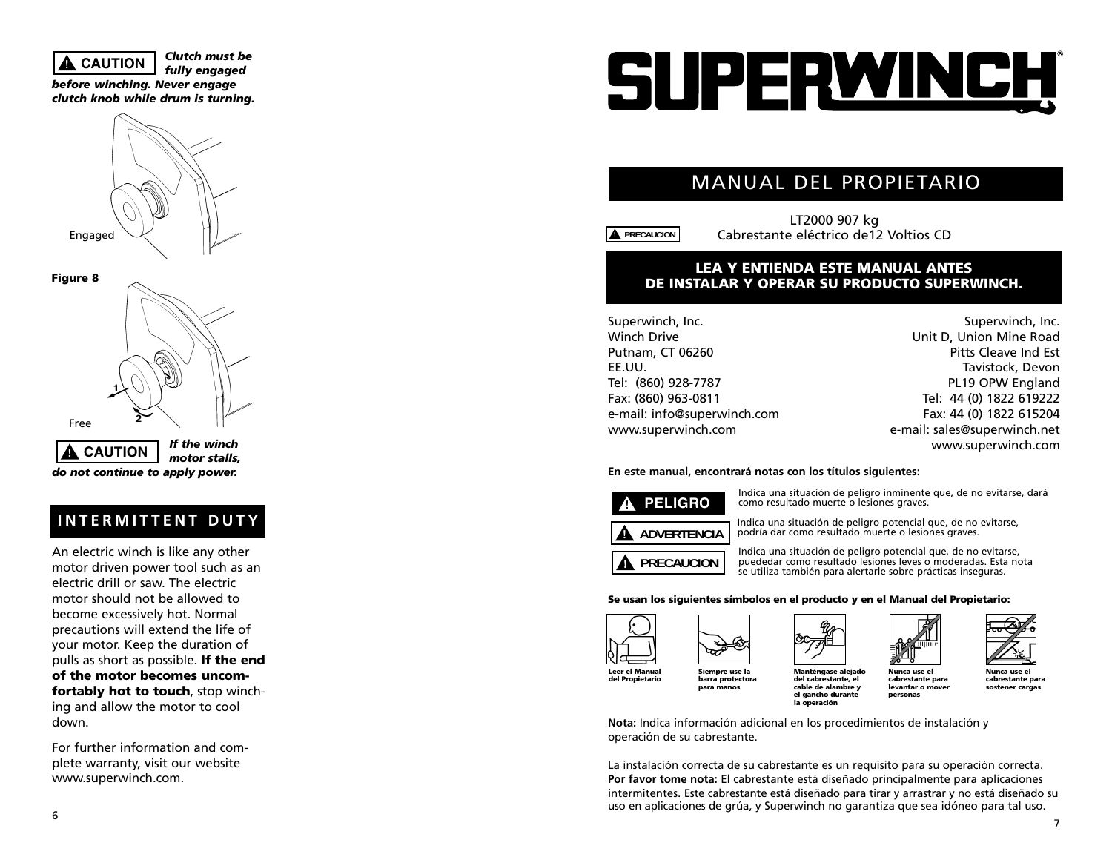## **! CAUTION**

*fully engaged before winching. Never engage clutch knob while drum is turning.*

*Clutch must be*

Engaged



## **INTERMITTENT DUTY**

An electric winch is like any other motor driven power tool such as an electric drill or saw. The electric motor should not be allowed to become excessively hot. Normal precautions will extend the life of your motor. Keep the duration of pulls as short as possible. **If the end of the motor becomes uncomfortably hot to touch**, stop winching and allow the motor to cool down.

For further information and complete warranty, visit our website www.superwinch.com.

# SUPERWINCH

# MANUAL DEL PROPIETARIO

**! PRECAUCION**

LT2000 907 kg Cabrestante eléctrico de12 Voltios CD

## **LEA Y ENTIENDA ESTE MANUAL ANTES DE INSTALAR Y OPERAR SU PRODUCTO SUPERWINCH.**

Superwinch, Inc. Winch Drive Putnam, CT 06260 EE.UU. Tel: (860) 928-7787 Fax: (860) 963-0811 e-mail: info@superwinch.com www.superwinch.com

Superwinch, Inc. Unit D, Union Mine Road Pitts Cleave Ind Est Tavistock, Devon PL19 OPW England Tel: 44 (0) 1822 619222 Fax: 44 (0) 1822 615204 e-mail: sales@superwinch.net www.superwinch.com

## **En este manual, encontrará notas con los títulos siguientes:**



Indica una situación de peligro inminente que, de no evitarse, dará como resultado muerte o lesiones graves.



Indica una situación de peligro potencial que, de no evitarse, podría dar como resultado muerte o lesiones graves.

Indica una situación de peligro potencial que, de no evitarse, puededar como resultado lesiones leves o moderadas. Esta nota se utiliza también para alertarle sobre prácticas inseguras.

### **Se usan los siguientes símbolos en el producto y en el Manual del Propietario:**



**Siempre use la barra protectora para manos**





**cable de alambre y el gancho durante la operación**

**Nunca use el cabrestante para levantar o mover personas**

**Nunca use el cabrestante para sostener cargas**

**Nota:** Indica información adicional en los procedimientos de instalación y operación de su cabrestante.

La instalación correcta de su cabrestante es un requisito para su operación correcta. **Por favor tome nota:** El cabrestante está diseñado principalmente para aplicaciones intermitentes. Este cabrestante está diseñado para tirar y arrastrar y no está diseñado su uso en aplicaciones de grúa, y Superwinch no garantiza que sea idóneo para tal uso.



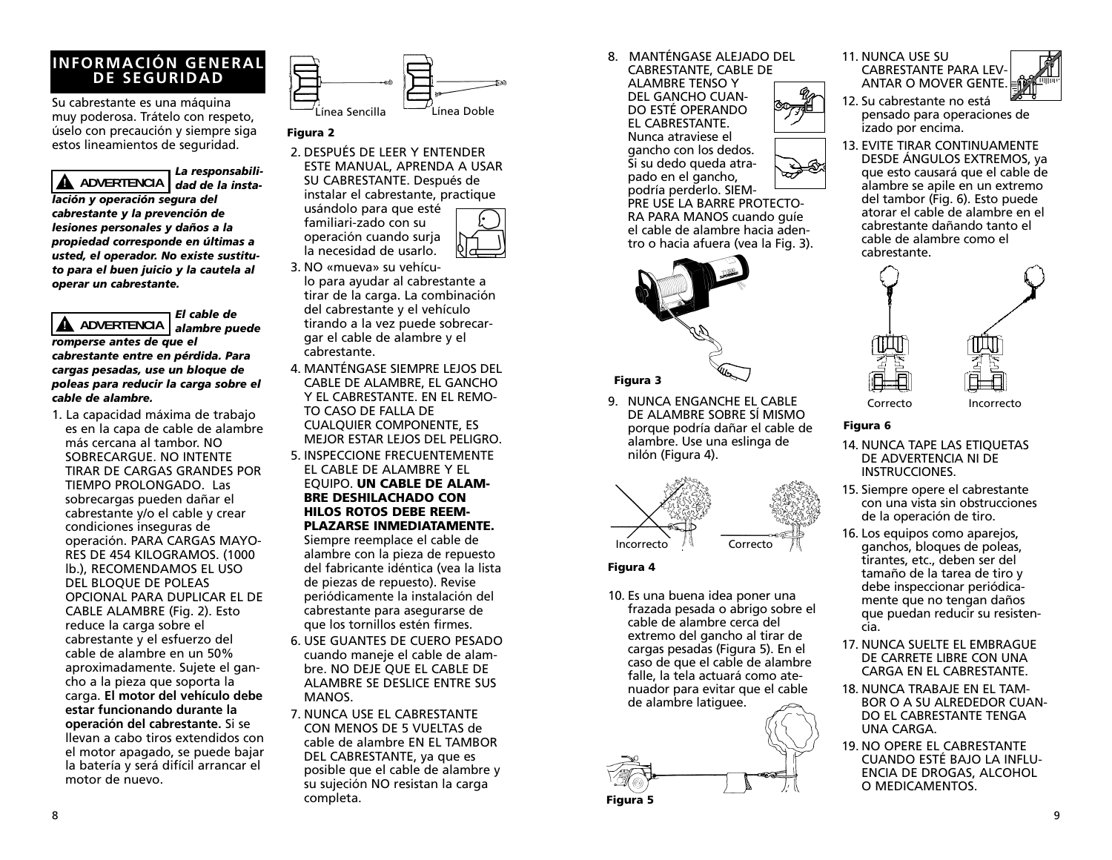## **INFORMACIÓN GENERAL DE SEGURIDAD**

Su cabrestante es una máquina muy poderosa. Trátelo con respeto, úselo con precaución y siempre siga estos lineamientos de seguridad.

*La responsabilidad de la insta-***! ADVERTENCIA** *lación y operación segura del cabrestante y la prevención de lesiones personales y daños a la propiedad corresponde en últimas a usted, el operador. No existe sustituto para el buen juicio y la cautela al operar un cabrestante.*

*El cable de alambre puede* **! ADVERTENCIA** *romperse antes de que el cabrestante entre en pérdida. Para cargas pesadas, use un bloque de poleas para reducir la carga sobre el cable de alambre.*

1. La capacidad máxima de trabajo es en la capa de cable de alambre más cercana al tambor. NO SOBRECARGUE. NO INTENTE TIRAR DE CARGAS GRANDES POR TIEMPO PROLONGADO. Las sobrecargas pueden dañar el cabrestante y/o el cable y crear condiciones inseguras de operación. PARA CARGAS MAYO-RES DE 454 KILOGRAMOS. (1000 lb.), RECOMENDAMOS EL USO DEL BLOQUE DE POLEAS OPCIONAL PARA DUPLICAR EL DE CABLE ALAMBRE (Fig. 2). Esto reduce la carga sobre el cabrestante y el esfuerzo del cable de alambre en un 50% aproximadamente. Sujete el gancho a la pieza que soporta la carga. **El motor del vehículo debe estar funcionando durante la operación del cabrestante.** Si se llevan a cabo tiros extendidos con el motor apagado, se puede bajar la batería y será difícil arrancar el motor de nuevo.



## **Figura 2**

- 2. DESPUÉS DE LEER Y ENTENDER ESTE MANUAL, APRENDA A USAR SU CABRESTANTE. Después de instalar el cabrestante, practique usándolo para que esté familiari-zado con su operación cuando surja la necesidad de usarlo. 3. NO «mueva» su vehícu-
- lo para ayudar al cabrestante a tirar de la carga. La combinación del cabrestante y el vehículo tirando a la vez puede sobrecargar el cable de alambre y el cabrestante.
- 4. MANTÉNGASE SIEMPRE LEJOS DEL CABLE DE ALAMBRE, EL GANCHO Y EL CABRESTANTE. EN EL REMO-TO CASO DE FALLA DE CUALQUIER COMPONENTE, ES MEJOR ESTAR LEJOS DEL PELIGRO.
- 5. INSPECCIONE FRECUENTEMENTE EL CABLE DE ALAMBRE Y EL EQUIPO. **UN CABLE DE ALAM-BRE DESHILACHADO CON HILOS ROTOS DEBE REEM-PLAZARSE INMEDIATAMENTE.**

Siempre reemplace el cable de alambre con la pieza de repuesto del fabricante idéntica (vea la lista de piezas de repuesto). Revise periódicamente la instalación del cabrestante para asegurarse de que los tornillos estén firmes.

- 6. USE GUANTES DE CUERO PESADO cuando maneje el cable de alambre. NO DEJE QUE EL CABLE DE ALAMBRE SE DESLICE ENTRE SUS MANOS.
- 7. NUNCA USE EL CABRESTANTE CON MENOS DE 5 VUELTAS de cable de alambre EN EL TAMBOR DEL CABRESTANTE, ya que es posible que el cable de alambre y su sujeción NO resistan la carga completa.

8. MANTÉNGASE ALEJADO DEL CABRESTANTE, CABLE DE

ALAMBRE TENSO Y DEL GANCHO CUAN-DO ESTÉ OPERANDO EL CABRESTANTE. Nunca atraviese el gancho con los dedos. Si su dedo queda atrapado en el gancho, podría perderlo. SIEM-

PRE USE LA BARRE PROTECTO-RA PARA MANOS cuando guíe el cable de alambre hacia adentro o hacia afuera (vea la Fig. 3).

## **Figura 3**

9. NUNCA ENGANCHE EL CABLE DE ALAMBRE SOBRE SÍ MISMO porque podría dañar el cable de alambre. Use una eslinga de nilón (Figura 4).



## **Figura 4**

10. Es una buena idea poner una frazada pesada o abrigo sobre el cable de alambre cerca del extremo del gancho al tirar de cargas pesadas (Figura 5). En el caso de que el cable de alambre falle, la tela actuará como atenuador para evitar que el cable de alambre latiguee.



11. NUNCA USE SU CABRESTANTE PARA LEV-ANTAR O MOVER GENTE.



- 12. Su cabrestante no está pensado para operaciones de izado por encima.
- 13. EVITE TIRAR CONTINUAMENTE DESDE ÁNGULOS EXTREMOS, ya que esto causará que el cable de alambre se apile en un extremo del tambor (Fig. 6). Esto puede atorar el cable de alambre en el cabrestante dañando tanto el cable de alambre como el cabrestante.



## **Figura 6**

- 14. NUNCA TAPE LAS ETIQUETAS DE ADVERTENCIA NI DE INSTRUCCIONES.
- 15. Siempre opere el cabrestante con una vista sin obstrucciones de la operación de tiro.
- 16. Los equipos como aparejos, ganchos, bloques de poleas, tirantes, etc., deben ser del tamaño de la tarea de tiro y debe inspeccionar periódicamente que no tengan daños que puedan reducir su resistencia.
- 17. NUNCA SUELTE EL EMBRAGUE DE CARRETE LIBRE CON UNA CARGA EN EL CABRESTANTE.
- 18. NUNCA TRABAJE EN EL TAM-BOR O A SU ALREDEDOR CUAN-DO EL CABRESTANTE TENGA UNA CARGA.
- 19. NO OPERE EL CABRESTANTE CUANDO ESTÉ BAJO LA INFLU-ENCIA DE DROGAS, ALCOHOL O MEDICAMENTOS.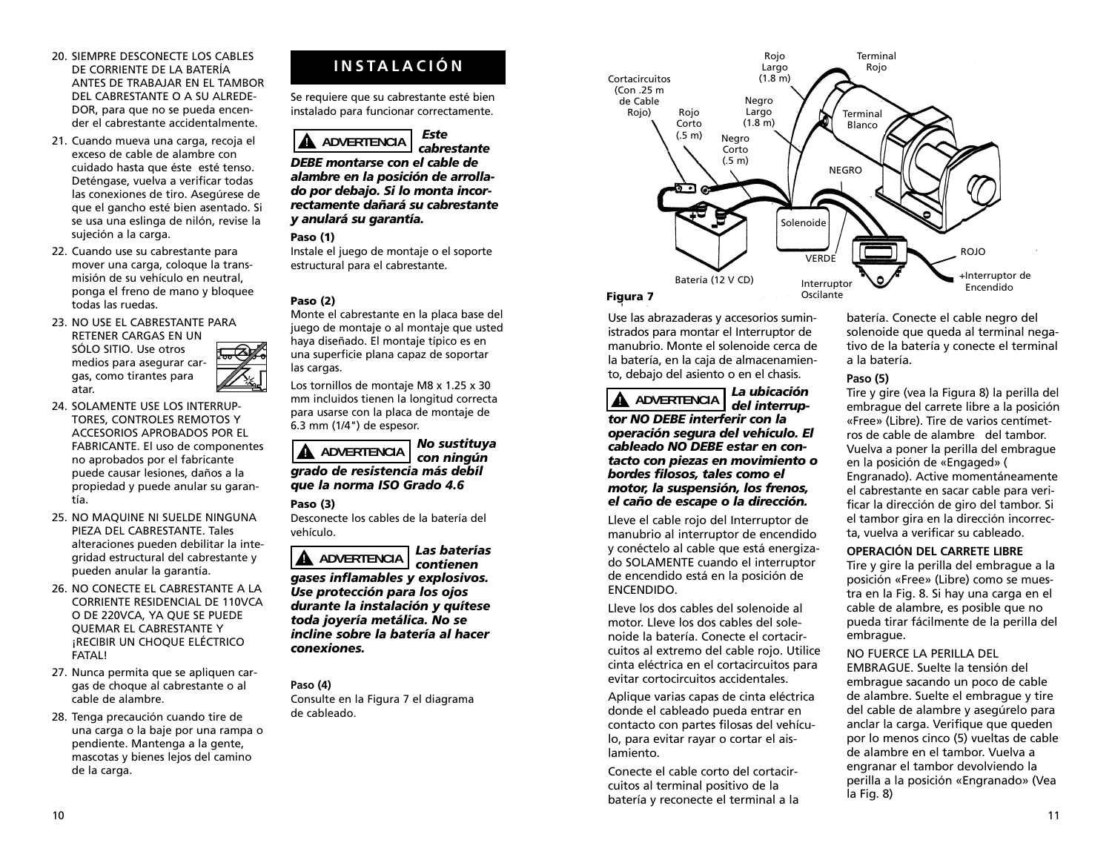- 20. SIEMPRE DESCONECTE LOS CABLES DE CORRIENTE DE LA BATERÍA ANTES DE TRABAJAR EN EL TAMBOR DEL CABRESTANTE O A SU ALREDE-DOR, para que no se pueda encender el cabrestante accidentalmente.
- 21. Cuando mueva una carga, recoja el exceso de cable de alambre con cuidado hasta que éste esté tenso. Deténgase, vuelva a verificar todas las conexiones de tiro. Asegúrese de que el gancho esté bien asentado. Si se usa una eslinga de nilón, revise la sujeción a la carga.
- 22. Cuando use su cabrestante para mover una carga, coloque la transmisión de su vehículo en neutral, ponga el freno de mano y bloquee todas las ruedas.
- 23. NO USE EL CABRESTANTE PARA RETENER CARGAS EN UN SÓLO SITIO. Use otros medios para asegurar cargas, como tirantes para atar.
- 24. SOLAMENTE USE LOS INTERRUP-TORES, CONTROLES REMOTOS Y ACCESORIOS APROBADOS POR EL FABRICANTE. El uso de componentes no aprobados por el fabricante puede causar lesiones, daños a la propiedad y puede anular su garantía.
- 25. NO MAQUINE NI SUELDE NINGUNA PIEZA DEL CABRESTANTE. Tales alteraciones pueden debilitar la integridad estructural del cabrestante y pueden anular la garantía.
- 26. NO CONECTE EL CABRESTANTE A LA CORRIENTE RESIDENCIAL DE 110VCA O DE 220VCA, YA QUE SE PUEDE QUEMAR EL CABRESTANTE Y ¡RECIBIR UN CHOQUE ELÉCTRICO FATAL!
- 27. Nunca permita que se apliquen cargas de choque al cabrestante o al cable de alambre.
- 28. Tenga precaución cuando tire de una carga o la baje por una rampa o pendiente. Mantenga a la gente, mascotas y bienes lejos del camino de la carga.

# **INSTALACIÓN**

Se requiere que su cabrestante esté bien instalado para funcionar correctamente.



*DEBE montarse con el cable de alambre en la posición de arrollado por debajo. Si lo monta incorrectamente dañará su cabrestante y anulará su garantía.*

## **Paso (1)**

Instale el juego de montaje o el soporte estructural para el cabrestante.

## **Paso (2)**

Monte el cabrestante en la placa base del juego de montaje o al montaje que usted haya diseñado. El montaje típico es en una superficie plana capaz de soportar las cargas.

Los tornillos de montaje M8 x 1.25 x 30 mm incluidos tienen la longitud correcta para usarse con la placa de montaje de 6.3 mm (1/4") de espesor.



## **Paso (3)**

Desconecte los cables de la batería del vehículo.



*gases inflamables y explosivos. Use protección para los ojos durante la instalación y quítese toda joyería metálica. No se incline sobre la batería al hacer conexiones.*

**Paso (4)** Consulte en la Figura 7 el diagrama de cableado.



## **Figura 7**

Use las abrazaderas y accesorios suministrados para montar el Interruptor de manubrio. Monte el solenoide cerca de la batería, en la caja de almacenamiento, debajo del asiento o en el chasis.

*La ubicación del interruptor NO DEBE interferir con la operación segura del vehículo. El cableado NO DEBE estar en contacto con piezas en movimiento o bordes filosos, tales como el motor, la suspensión, los frenos, el caño de escape o la dirección.* **! ADVERTENCIA**

Lleve el cable rojo del Interruptor de manubrio al interruptor de encendido y conéctelo al cable que está energizado SOLAMENTE cuando el interruptor de encendido está en la posición de ENCENDIDO.

Lleve los dos cables del solenoide al motor. Lleve los dos cables del solenoide la batería. Conecte el cortacircuitos al extremo del cable rojo. Utilice cinta eléctrica en el cortacircuitos para evitar cortocircuitos accidentales.

Aplique varias capas de cinta eléctrica donde el cableado pueda entrar en contacto con partes filosas del vehículo, para evitar rayar o cortar el aislamiento.

Conecte el cable corto del cortacircuitos al terminal positivo de la batería y reconecte el terminal a la

batería. Conecte el cable negro del solenoide que queda al terminal negativo de la batería y conecte el terminal a la batería.

## **Paso (5)**

Tire y gire (vea la Figura 8) la perilla del embrague del carrete libre a la posición «Free» (Libre). Tire de varios centímetros de cable de alambre del tambor. Vuelva a poner la perilla del embrague en la posición de «Engaged» ( Engranado). Active momentáneamente el cabrestante en sacar cable para verificar la dirección de giro del tambor. Si el tambor gira en la dirección incorrecta, vuelva a verificar su cableado.

## **OPERACIÓN DEL CARRETE LIBRE**

Tire y gire la perilla del embrague a la posición «Free» (Libre) como se muestra en la Fig. 8. Si hay una carga en el cable de alambre, es posible que no pueda tirar fácilmente de la perilla del embrague.

## NO FUERCE LA PERILLA DEL

EMBRAGUE. Suelte la tensión del embrague sacando un poco de cable de alambre. Suelte el embrague y tire del cable de alambre y asegúrelo para anclar la carga. Verifique que queden por lo menos cinco (5) vueltas de cable de alambre en el tambor. Vuelva a engranar el tambor devolviendo la perilla a la posición «Engranado» (Vea la Fig. 8)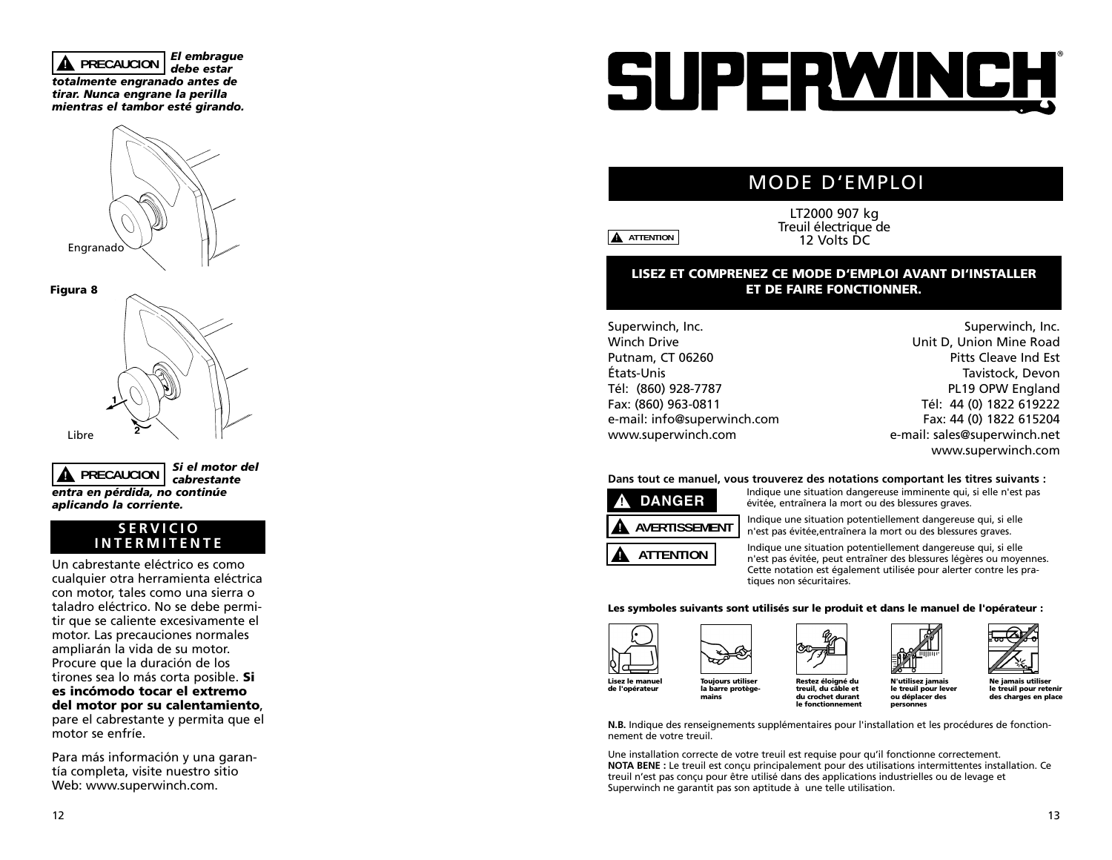*El embrague debe estar totalmente engranado antes de tirar. Nunca engrane la perilla mientras el tambor esté girando.* **! PRECAUCION**





*Si el motor del cabrestante entra en pérdida, no continúe aplicando la corriente.* **! PRECAUCION**

## **SERVICIO INTERMITENTE**

Un cabrestante eléctrico es como cualquier otra herramienta eléctrica con motor, tales como una sierra o taladro eléctrico. No se debe permitir que se caliente excesivamente el motor. Las precauciones normales ampliarán la vida de su motor. Procure que la duración de los tirones sea lo más corta posible. **Si es incómodo tocar el extremo del motor por su calentamiento**, pare el cabrestante y permita que el motor se enfríe.

Para más información y una garantía completa, visite nuestro sitio Web: www.superwinch.com.

# SUPERWINCH

# MODE D'EMPLOI

**! ATTENTION**

LT2000 907 kg Treuil électrique de 12 Volts DC

## **LISEZ ET COMPRENEZ CE MODE D'EMPLOI AVANT DI'INSTALLER ET DE FAIRE FONCTIONNER.**

Superwinch, Inc. Winch Drive Putnam, CT 06260 États-Unis Tél: (860) 928-7787 Fax: (860) 963-0811 e-mail: info@superwinch.com www.superwinch.com

Superwinch, Inc. Unit D, Union Mine Road Pitts Cleave Ind Est Tavistock, Devon PL19 OPW England Tél: 44 (0) 1822 619222 Fax: 44 (0) 1822 615204 e-mail: sales@superwinch.net www.superwinch.com

## **Dans tout ce manuel, vous trouverez des notations comportant les titres suivants :**



Indique une situation dangereuse imminente qui, si elle n'est pas évitée, entraînera la mort ou des blessures graves.

Indique une situation potentiellement dangereuse qui, si elle <sup>n</sup>'est pas évitée,entraînera la mort ou des blessures graves.

Indique une situation potentiellement dangereuse qui, si elle <sup>n</sup>'est pas évitée, peut entraîner des blessures légères ou moyennes. Cette notation est également utilisée pour alerter contre les pratiques non sécuritaires.

### **Les symboles suivants sont utilisés sur le produit et dans le manuel de l'opérateur :**



**mains**

**de l'opérateur**









**treuil, du câble et du crochet durant le fonctionnement**

**N'utilisez jamais le treuil pour lever ou déplacer des personnes le treuil pour retenir des charges en place**

**N.B.** Indique des renseignements supplémentaires pour l'installation et les procédures de fonctionnement de votre treuil.

Une installation correcte de votre treuil est requise pour qu'il fonctionne correctement. **NOTA BENE :** Le treuil est conçu principalement pour des utilisations intermittentes installation. Ce treuil n'est pas conçu pour être utilisé dans des applications industrielles ou de levage et Superwinch ne garantit pas son aptitude à une telle utilisation.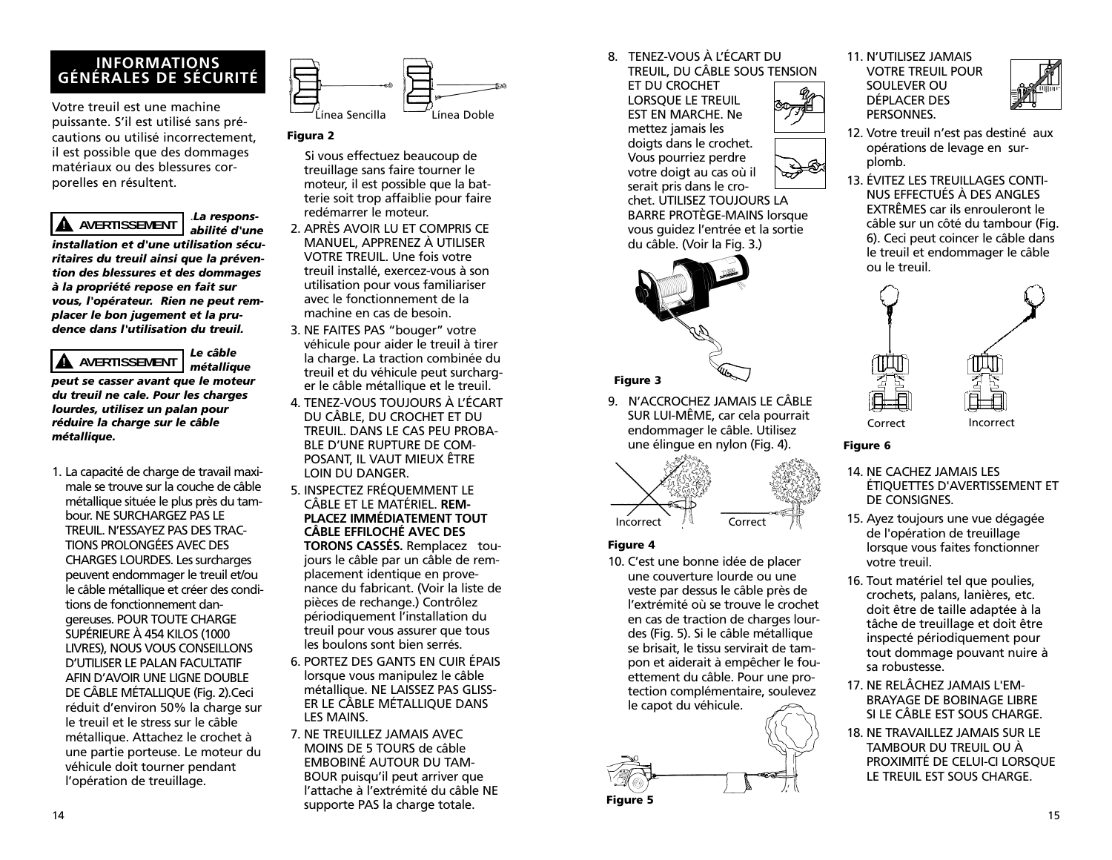## **INFORMATIONS GÉNÉRALES DE SÉCURITÉ**

Votre treuil est une machine puissante. S'il est utilisé sans précautions ou utilisé incorrectement, il est possible que des dommages matériaux ou des blessures corporelles en résultent.

#### .*La respons-***! AVERTISSEMENT**

*abilité d'une installation et d'une utilisation sécuritaires du treuil ainsi que la prévention des blessures et des dommages à la propriété repose en fait sur vous, l'opérateur. Rien ne peut remplacer le bon jugement et la prudence dans l'utilisation du treuil.*

*Le câble*

## *métallique peut se casser avant que le moteur du treuil ne cale. Pour les charges lourdes, utilisez un palan pour réduire la charge sur le câble métallique.* **! AVERTISSEMENT**

1. La capacité de charge de travail maximale se trouve sur la couche de câble métallique située le plus près du tambour. NE SURCHARGEZ PAS LE TREUIL. N'ESSAYEZ PAS DES TRAC-TIONS PROLONGÉES AVEC DES CHARGES LOURDES. Les surcharges peuvent endommager le treuil et/ou le câble métallique et créer des conditions de fonctionnement dangereuses. POUR TOUTE CHARGE SUPÉRIEURE À 454 KILOS (1000 LIVRES), NOUS VOUS CONSEILLONS D'UTILISER LE PALAN FACULTATIF AFIN D'AVOIR UNE LIGNE DOUBLE DE CÂBLE MÉTALLIQUE (Fig. 2).Ceci réduit d'environ 50% la charge sur le treuil et le stress sur le câble métallique. Attachez le crochet à une partie porteuse. Le moteur du véhicule doit tourner pendant l'opération de treuillage.



## **Figura 2**

- Si vous effectuez beaucoup de treuillage sans faire tourner le moteur, il est possible que la batterie soit trop affaiblie pour faire redémarrer le moteur.
- 2. APRÈS AVOIR LU ET COMPRIS CE MANUEL, APPRENEZ À UTILISER VOTRE TREUIL. Une fois votre treuil installé, exercez-vous à son utilisation pour vous familiariser avec le fonctionnement de la machine en cas de besoin.
- 3. NE FAITES PAS "bouger" votre véhicule pour aider le treuil à tirer la charge. La traction combinée du treuil et du véhicule peut surcharger le câble métallique et le treuil.
- 4. TENEZ-VOUS TOUJOURS À L'ÉCART DU CÂBLE, DU CROCHET ET DU TREUIL. DANS LE CAS PEU PROBA-BLE D'UNE RUPTURE DE COM-POSANT, IL VAUT MIEUX ÊTRE LOIN DU DANGER.
- 5. INSPECTEZ FRÉQUEMMENT LE CÂBLE ET LE MATÉRIEL. **REM-PLACEZ IMMÉDIATEMENT TOUT CÂBLE EFFILOCHÉ AVEC DES TORONS CASSÉS.** Remplacez toujours le câble par un câble de remplacement identique en provenance du fabricant. (Voir la liste de pièces de rechange.) Contrôlez périodiquement l'installation du treuil pour vous assurer que tous les boulons sont bien serrés.
- 6. PORTEZ DES GANTS EN CUIR ÉPAIS lorsque vous manipulez le câble métallique. NE LAISSEZ PAS GLISS-ER LE CÂBLE MÉTALLIQUE DANS LES MAINS.
- 7. NE TREUILLEZ JAMAIS AVEC MOINS DE 5 TOURS de câble EMBOBINÉ AUTOUR DU TAM-BOUR puisqu'il peut arriver que l'attache à l'extrémité du câble NE supporte PAS la charge totale.

8. TENEZ-VOUS À L'ÉCART DU

TREUIL, DU CÂBLE SOUS TENSION ET DU CROCHET LORSQUE LE TREUIL EST EN MARCHE. Ne mettez jamais les doigts dans le crochet. Vous pourriez perdre votre doigt au cas où il serait pris dans le cro-

chet. UTILISEZ TOUJOURS LA BARRE PROTÈGE-MAINS lorsque vous guidez l'entrée et la sortie du câble. (Voir la Fig. 3.)



## **Figure 3**

9. N'ACCROCHEZ JAMAIS LE CÂBLE SUR LUI-MÊME, car cela pourrait endommager le câble. Utilisez une élingue en nylon (Fig. 4).



## **Figure 4**

10. C'est une bonne idée de placer une couverture lourde ou une veste par dessus le câble près de l'extrémité où se trouve le crochet en cas de traction de charges lourdes (Fig. 5). Si le câble métallique se brisait, le tissu servirait de tampon et aiderait à empêcher le fouettement du câble. Pour une protection complémentaire, soulevez le capot du véhicule.



11. N'UTILISEZ JAMAIS VOTRE TREUIL POUR SOULEVER OU DÉPLACER DES PERSONNES.



- 12. Votre treuil n'est pas destiné aux opérations de levage en surplomb.
- 13. ÉVITEZ LES TREUILLAGES CONTI-NUS EFFECTUÉS À DES ANGLES EXTRÊMES car ils enrouleront le câble sur un côté du tambour (Fig. 6). Ceci peut coincer le câble dans le treuil et endommager le câble ou le treuil.



## **Figure 6**

- 14. NE CACHEZ JAMAIS LES ÉTIQUETTES D'AVERTISSEMENT ET DE CONSIGNES.
- 15. Ayez toujours une vue dégagée de l'opération de treuillage lorsque vous faites fonctionner votre treuil.
- 16. Tout matériel tel que poulies, crochets, palans, lanières, etc. doit être de taille adaptée à la tâche de treuillage et doit être inspecté périodiquement pour tout dommage pouvant nuire à sa robustesse.
- 17. NE RELÂCHEZ JAMAIS L'EM-BRAYAGE DE BOBINAGE LIBRE SI LE CÂBLE EST SOUS CHARGE.
- 18. NE TRAVAILLEZ JAMAIS SUR LE TAMBOUR DU TREUIL OU À PROXIMITÉ DE CELUI-CI LORSQUE LE TREUIL EST SOUS CHARGE.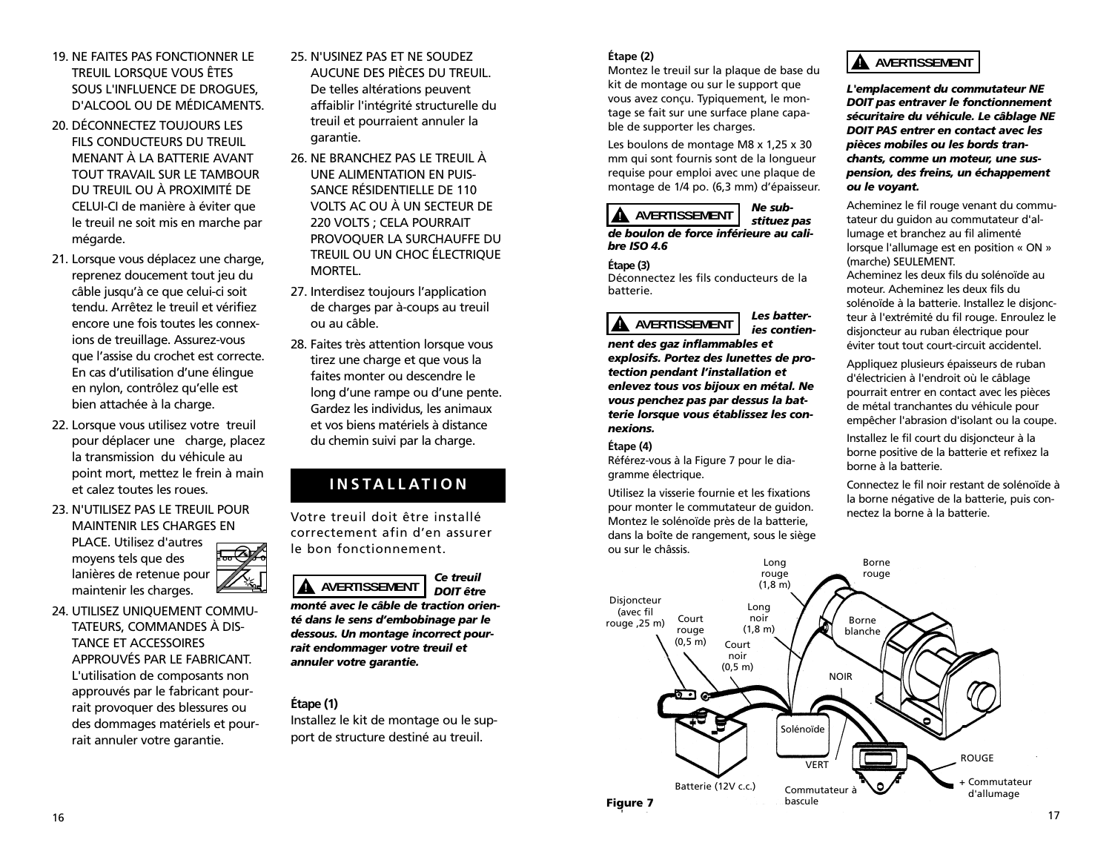- 19. NE FAITES PAS FONCTIONNER LE TREUIL LORSQUE VOUS ÊTES SOUS L'INFLUENCE DE DROGUES, D'ALCOOL OU DE MÉDICAMENTS.
- 20. DÉCONNECTEZ TOUJOURS LES FILS CONDUCTEURS DU TREUIL MENANT À LA BATTERIE AVANT TOUT TRAVAIL SUR LE TAMBOUR DU TREUIL OU À PROXIMITÉ DE CELUI-CI de manière à éviter que le treuil ne soit mis en marche par mégarde.
- 21. Lorsque vous déplacez une charge, reprenez doucement tout jeu du câble jusqu'à ce que celui-ci soit tendu. Arrêtez le treuil et vérifiez encore une fois toutes les connexions de treuillage. Assurez-vous que l'assise du crochet est correcte. En cas d'utilisation d'une élingue en nylon, contrôlez qu'elle est bien attachée à la charge.
- 22. Lorsque vous utilisez votre treuil pour déplacer une charge, placez la transmission du véhicule au point mort, mettez le frein à main et calez toutes les roues.
- 23. N'UTILISEZ PAS LE TREUIL POUR MAINTENIR LES CHARGES EN

PLACE. Utilisez d'autres moyens tels que des lanières de retenue pour maintenir les charges.

24. UTILISEZ UNIQUEMENT COMMU-TATEURS, COMMANDES À DIS-TANCE ET ACCESSOIRES APPROUVÉS PAR LE FABRICANT. L'utilisation de composants non approuvés par le fabricant pourrait provoquer des blessures ou des dommages matériels et pourrait annuler votre garantie.

- 25. N'USINEZ PAS ET NE SOUDEZ AUCUNE DES PIÈCES DU TREUIL. De telles altérations peuvent affaiblir l'intégrité structurelle du treuil et pourraient annuler la garantie.
- 26. NE BRANCHEZ PAS LE TREUIL À UNE ALIMENTATION EN PUIS-SANCE RÉSIDENTIELLE DE 110 VOLTS AC OU À UN SECTEUR DE 220 VOLTS ; CELA POURRAIT PROVOQUER LA SURCHAUFFE DU TREUIL OU UN CHOC ÉLECTRIQUE MORTEL.
- 27. Interdisez toujours l'application de charges par à-coups au treuil ou au câble.
- 28. Faites très attention lorsque vous tirez une charge et que vous la faites monter ou descendre le long d'une rampe ou d'une pente. Gardez les individus, les animaux et vos biens matériels à distance du chemin suivi par la charge.

# **INSTALLATION**

Votre treuil doit être installé correctement afin d'en assurer le bon fonctionnement.



*monté avec le câble de traction orienté dans le sens d'embobinage par le dessous. Un montage incorrect pourrait endommager votre treuil et annuler votre garantie.*

## **Étape (1)**

Installez le kit de montage ou le support de structure destiné au treuil.

## **Étape (2)**

Montez le treuil sur la plaque de base du kit de montage ou sur le support que vous avez conçu. Typiquement, le montage se fait sur une surface plane capable de supporter les charges.

Les boulons de montage M8 x 1,25 x 30 mm qui sont fournis sont de la longueur requise pour emploi avec une plaque de montage de 1/4 po. (6,3 mm) d'épaisseur.

#### *Ne substituez pas de boulon de force inférieure au cali-***! AVERTISSEMENT**

# *bre ISO 4.6*

## **Étape (3)**

Déconnectez les fils conducteurs de la batterie.

#### *Les batteries contien-***! AVERTISSEMENT**

*nent des gaz inflammables et explosifs. Portez des lunettes de protection pendant l'installation et enlevez tous vos bijoux en métal. Ne vous penchez pas par dessus la batterie lorsque vous établissez les connexions.*

## **Étape (4)**

Référez-vous à la Figure 7 pour le diagramme électrique.

Utilisez la visserie fournie et les fixations pour monter le commutateur de guidon. Montez le solénoïde près de la batterie, dans la boîte de rangement, sous le siège ou sur le châssis.

## **! AVERTISSEMENT**

*L'emplacement du commutateur NE DOIT pas entraver le fonctionnement sécuritaire du véhicule. Le câblage NE DOIT PAS entrer en contact avec les pièces mobiles ou les bords tranchants, comme un moteur, une suspension, des freins, un échappement ou le voyant.*

Acheminez le fil rouge venant du commutateur du guidon au commutateur d'allumage et branchez au fil alimenté lorsque l'allumage est en position « ON » (marche) SEULEMENT.

Acheminez les deux fils du solénoïde au moteur. Acheminez les deux fils du solénoïde à la batterie. Installez le disjoncteur à l'extrémité du fil rouge. Enroulez le disjoncteur au ruban électrique pour éviter tout tout court-circuit accidentel.

Appliquez plusieurs épaisseurs de ruban d'électricien à l'endroit où le câblage pourrait entrer en contact avec les pièces de métal tranchantes du véhicule pour empêcher l'abrasion d'isolant ou la coupe.

Installez le fil court du disjoncteur à la borne positive de la batterie et refixez la borne à la batterie.

Connectez le fil noir restant de solénoïde à la borne négative de la batterie, puis connectez la borne à la batterie.